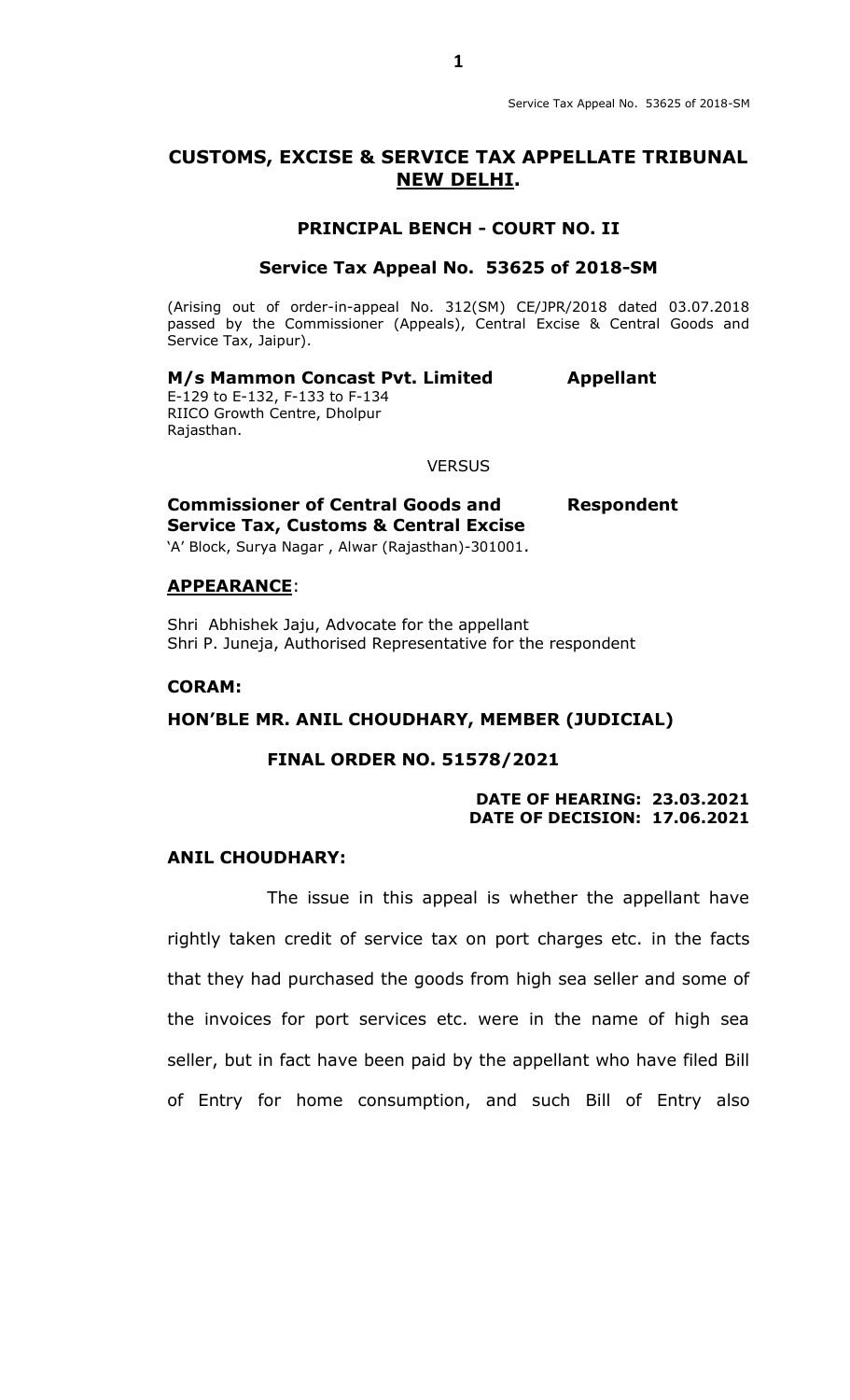# **CUSTOMS, EXCISE & SERVICE TAX APPELLATE TRIBUNAL NEW DELHI.**

### **PRINCIPAL BENCH - COURT NO. II**

## **Service Tax Appeal No. 53625 of 2018-SM**

(Arising out of order-in-appeal No. 312(SM) CE/JPR/2018 dated 03.07.2018 passed by the Commissioner (Appeals), Central Excise & Central Goods and Service Tax, Jaipur).

## **M/s Mammon Concast Pvt. Limited Appellant**

E-129 to E-132, F-133 to F-134 RIICO Growth Centre, Dholpur Rajasthan.

#### **VERSUS**

**Commissioner of Central Goods and Respondent Service Tax, Customs & Central Excise**

'A' Block, Surya Nagar, Alwar (Rajasthan)-301001.

#### **APPEARANCE**:

Shri Abhishek Jaju, Advocate for the appellant Shri P. Juneja, Authorised Representative for the respondent

### **CORAM:**

#### **HON'BLE MR. ANIL CHOUDHARY, MEMBER (JUDICIAL)**

#### **FINAL ORDER NO. 51578/2021**

#### **DATE OF HEARING: 23.03.2021 DATE OF DECISION: 17.06.2021**

### **ANIL CHOUDHARY:**

The issue in this appeal is whether the appellant have rightly taken credit of service tax on port charges etc. in the facts that they had purchased the goods from high sea seller and some of the invoices for port services etc. were in the name of high sea seller, but in fact have been paid by the appellant who have filed Bill of Entry for home consumption, and such Bill of Entry also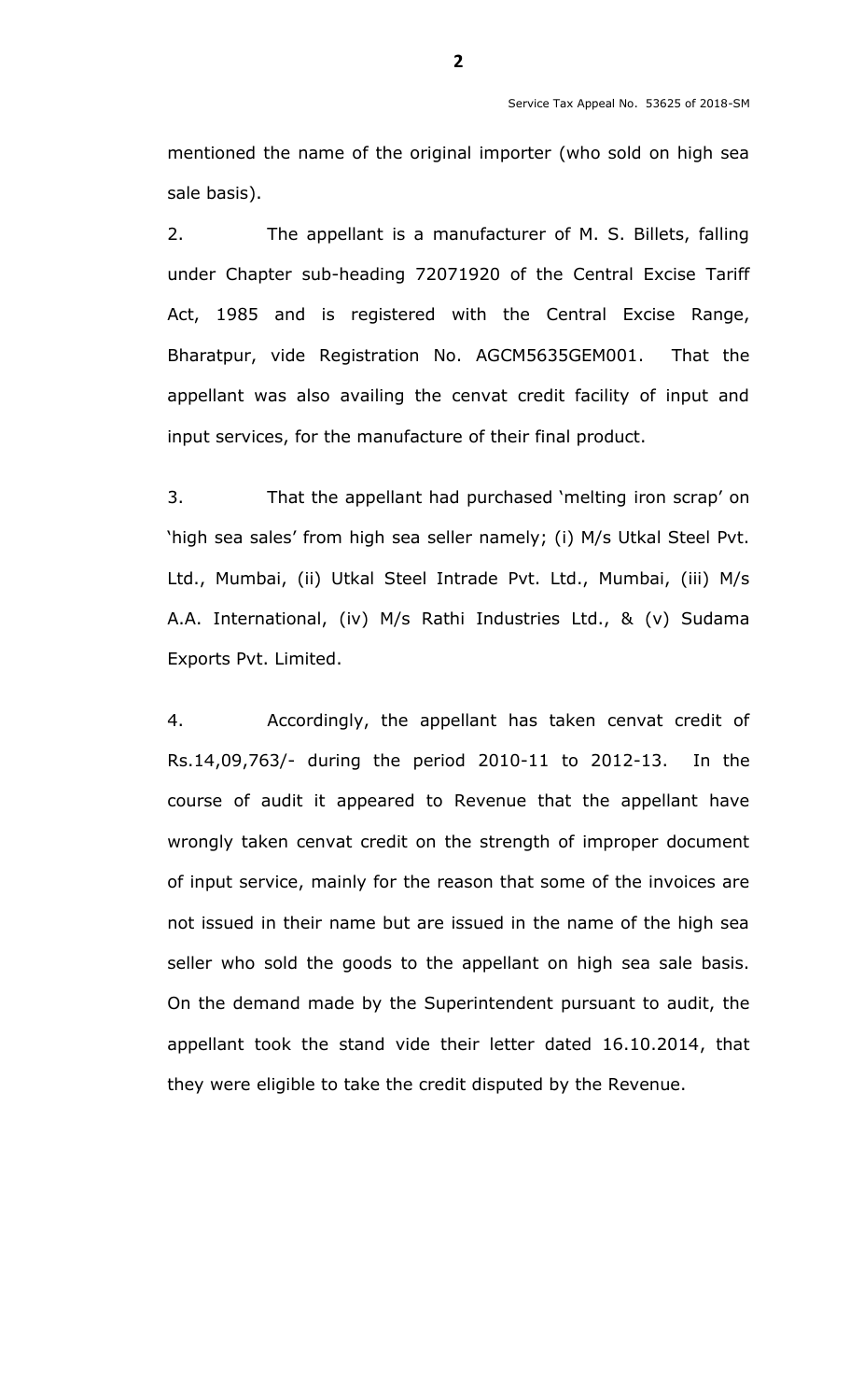mentioned the name of the original importer (who sold on high sea sale basis).

2. The appellant is a manufacturer of M. S. Billets, falling under Chapter sub-heading 72071920 of the Central Excise Tariff Act, 1985 and is registered with the Central Excise Range, Bharatpur, vide Registration No. AGCM5635GEM001. That the appellant was also availing the cenvat credit facility of input and input services, for the manufacture of their final product.

3. That the appellant had purchased "melting iron scrap" on 'high sea sales' from high sea seller namely; (i) M/s Utkal Steel Pvt. Ltd., Mumbai, (ii) Utkal Steel Intrade Pvt. Ltd., Mumbai, (iii) M/s A.A. International, (iv) M/s Rathi Industries Ltd., & (v) Sudama Exports Pvt. Limited.

4. Accordingly, the appellant has taken cenvat credit of Rs.14,09,763/- during the period 2010-11 to 2012-13. In the course of audit it appeared to Revenue that the appellant have wrongly taken cenvat credit on the strength of improper document of input service, mainly for the reason that some of the invoices are not issued in their name but are issued in the name of the high sea seller who sold the goods to the appellant on high sea sale basis. On the demand made by the Superintendent pursuant to audit, the appellant took the stand vide their letter dated 16.10.2014, that they were eligible to take the credit disputed by the Revenue.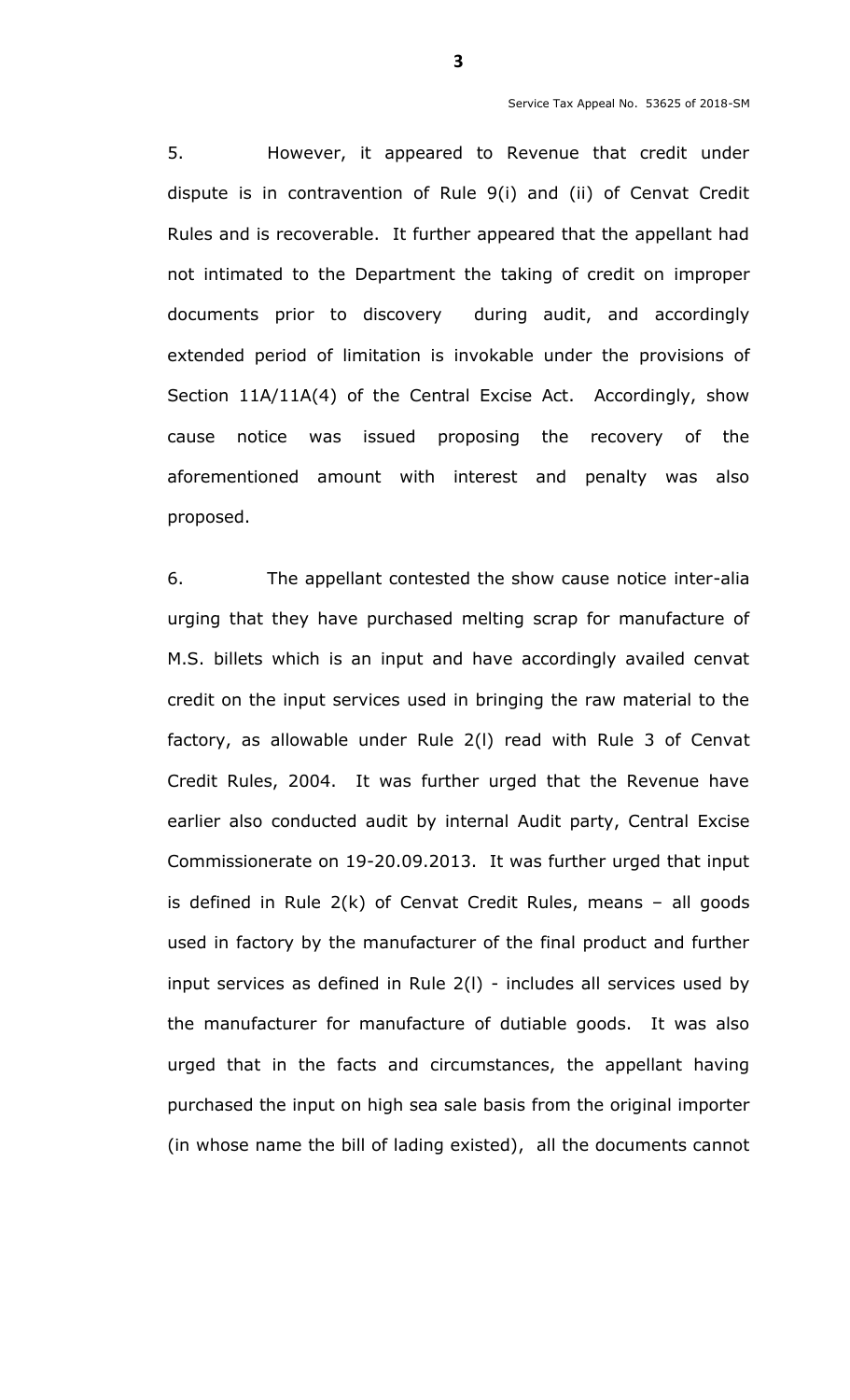5. However, it appeared to Revenue that credit under dispute is in contravention of Rule 9(i) and (ii) of Cenvat Credit Rules and is recoverable. It further appeared that the appellant had not intimated to the Department the taking of credit on improper documents prior to discovery during audit, and accordingly extended period of limitation is invokable under the provisions of Section 11A/11A(4) of the Central Excise Act. Accordingly, show cause notice was issued proposing the recovery of the aforementioned amount with interest and penalty was also proposed.

6. The appellant contested the show cause notice inter-alia urging that they have purchased melting scrap for manufacture of M.S. billets which is an input and have accordingly availed cenvat credit on the input services used in bringing the raw material to the factory, as allowable under Rule 2(l) read with Rule 3 of Cenvat Credit Rules, 2004. It was further urged that the Revenue have earlier also conducted audit by internal Audit party, Central Excise Commissionerate on 19-20.09.2013. It was further urged that input is defined in Rule 2(k) of Cenvat Credit Rules, means – all goods used in factory by the manufacturer of the final product and further input services as defined in Rule 2(l) - includes all services used by the manufacturer for manufacture of dutiable goods. It was also urged that in the facts and circumstances, the appellant having purchased the input on high sea sale basis from the original importer (in whose name the bill of lading existed), all the documents cannot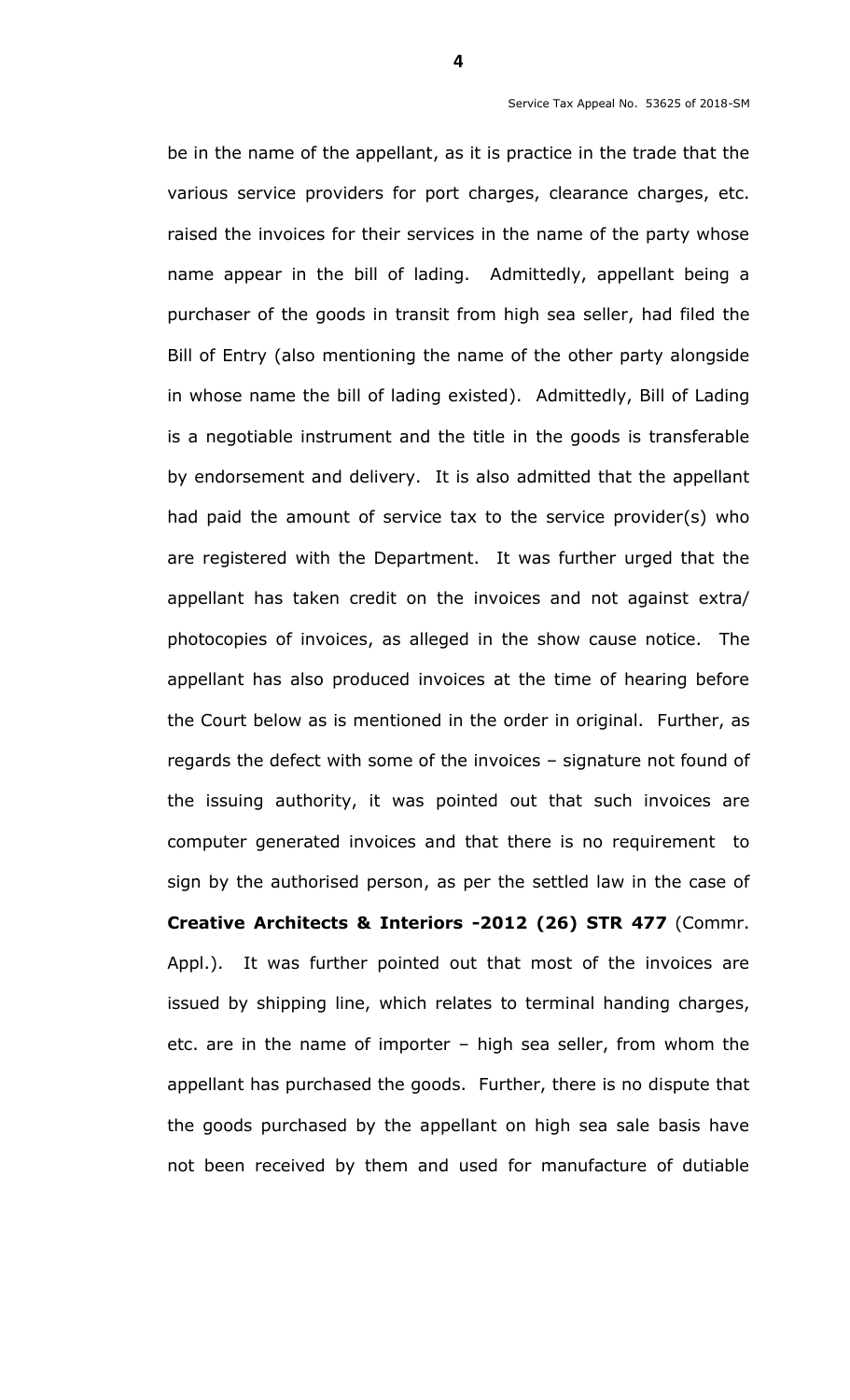be in the name of the appellant, as it is practice in the trade that the various service providers for port charges, clearance charges, etc. raised the invoices for their services in the name of the party whose name appear in the bill of lading. Admittedly, appellant being a purchaser of the goods in transit from high sea seller, had filed the Bill of Entry (also mentioning the name of the other party alongside in whose name the bill of lading existed). Admittedly, Bill of Lading is a negotiable instrument and the title in the goods is transferable by endorsement and delivery. It is also admitted that the appellant had paid the amount of service tax to the service provider(s) who are registered with the Department. It was further urged that the appellant has taken credit on the invoices and not against extra/ photocopies of invoices, as alleged in the show cause notice. The appellant has also produced invoices at the time of hearing before the Court below as is mentioned in the order in original. Further, as regards the defect with some of the invoices – signature not found of the issuing authority, it was pointed out that such invoices are computer generated invoices and that there is no requirement to sign by the authorised person, as per the settled law in the case of **Creative Architects & Interiors -2012 (26) STR 477** (Commr. Appl.). It was further pointed out that most of the invoices are issued by shipping line, which relates to terminal handing charges, etc. are in the name of importer – high sea seller, from whom the appellant has purchased the goods. Further, there is no dispute that the goods purchased by the appellant on high sea sale basis have not been received by them and used for manufacture of dutiable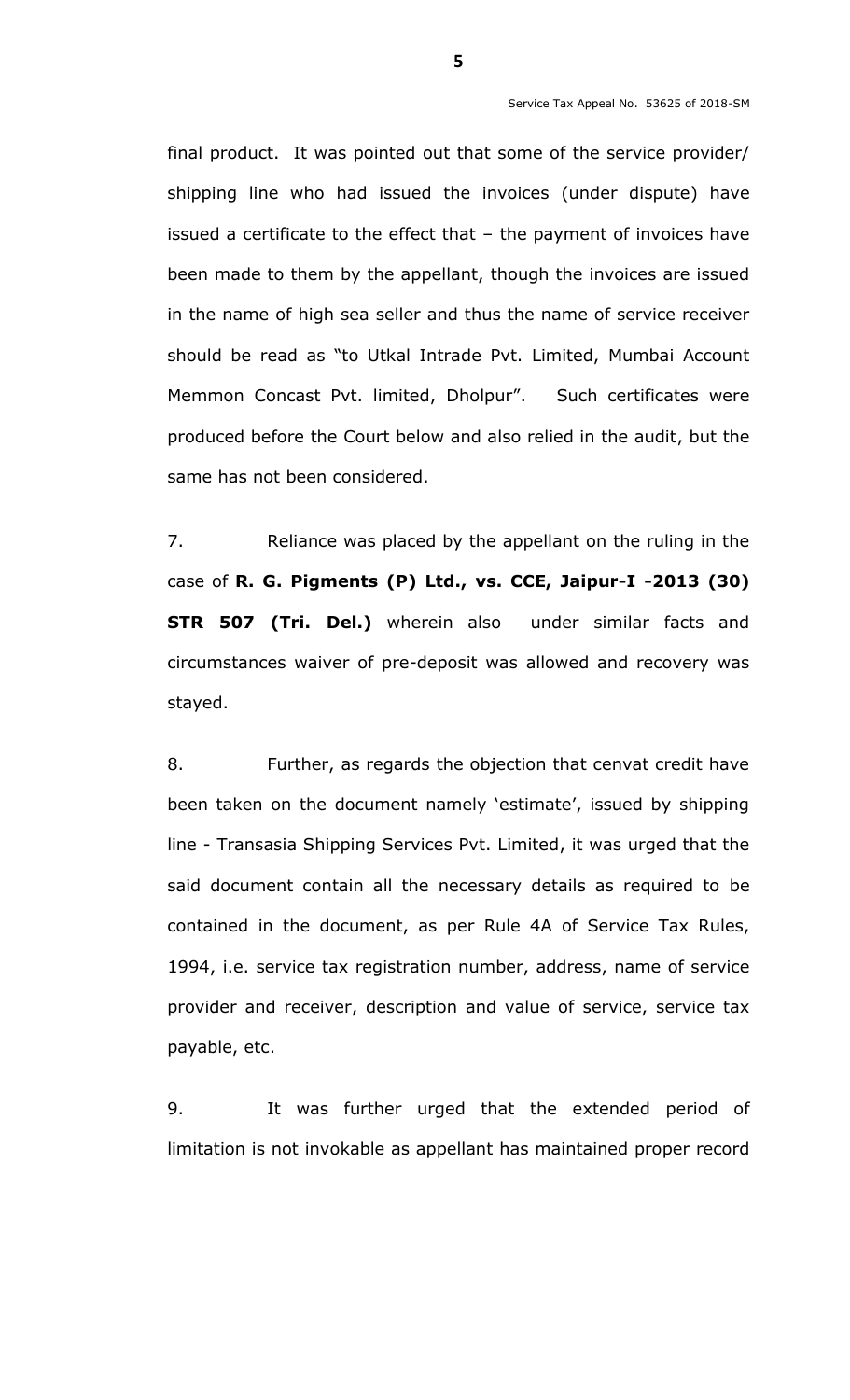final product. It was pointed out that some of the service provider/ shipping line who had issued the invoices (under dispute) have issued a certificate to the effect that – the payment of invoices have been made to them by the appellant, though the invoices are issued in the name of high sea seller and thus the name of service receiver should be read as "to Utkal Intrade Pvt. Limited, Mumbai Account Memmon Concast Pvt. limited, Dholpur". Such certificates were produced before the Court below and also relied in the audit, but the same has not been considered.

7. Reliance was placed by the appellant on the ruling in the case of **R. G. Pigments (P) Ltd., vs. CCE, Jaipur-I -2013 (30) STR 507 (Tri. Del.)** wherein also under similar facts and circumstances waiver of pre-deposit was allowed and recovery was stayed.

8. Further, as regards the objection that cenvat credit have been taken on the document namely 'estimate', issued by shipping line - Transasia Shipping Services Pvt. Limited, it was urged that the said document contain all the necessary details as required to be contained in the document, as per Rule 4A of Service Tax Rules, 1994, i.e. service tax registration number, address, name of service provider and receiver, description and value of service, service tax payable, etc.

9. It was further urged that the extended period of limitation is not invokable as appellant has maintained proper record

**5**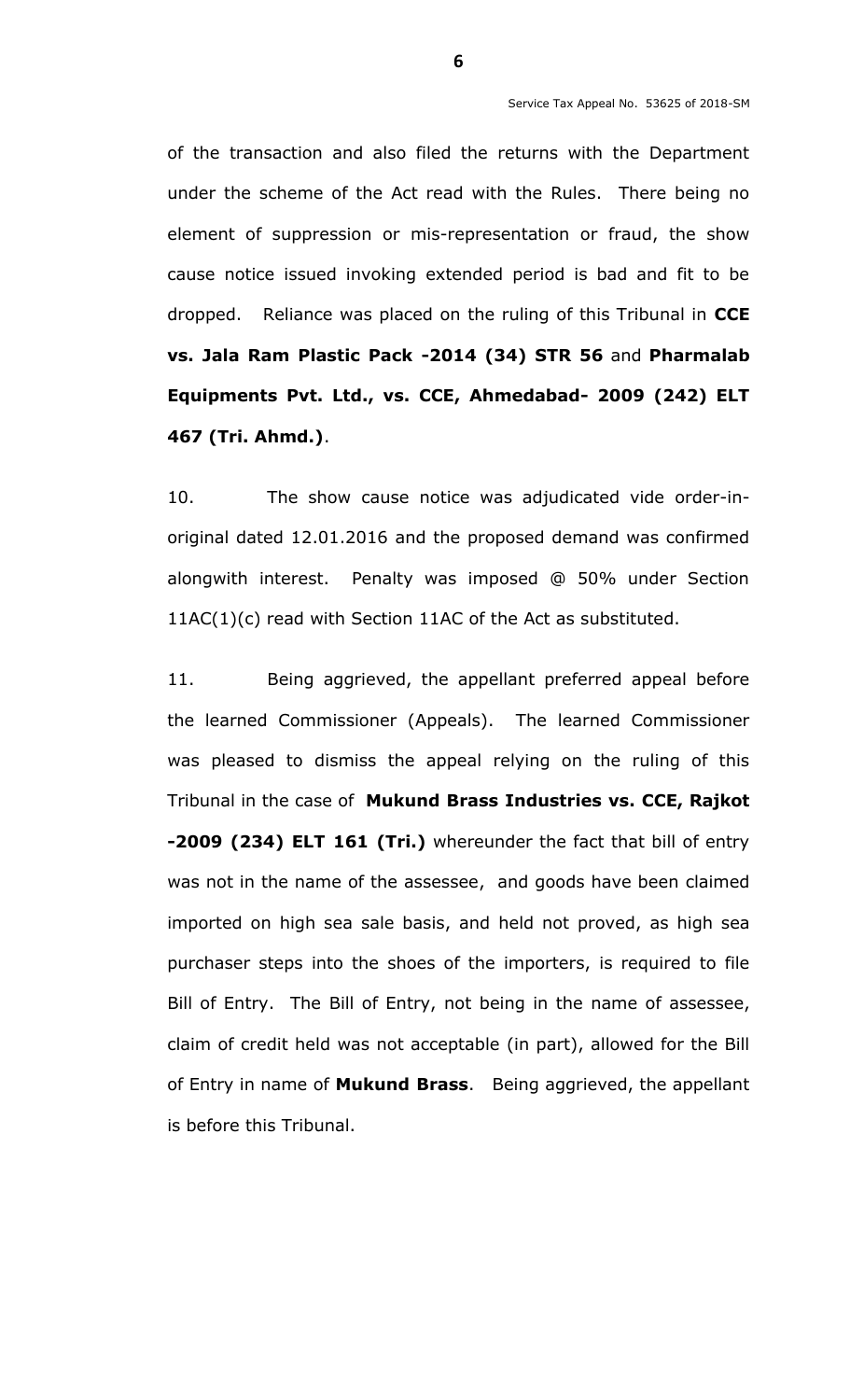of the transaction and also filed the returns with the Department under the scheme of the Act read with the Rules. There being no element of suppression or mis-representation or fraud, the show cause notice issued invoking extended period is bad and fit to be dropped. Reliance was placed on the ruling of this Tribunal in **CCE vs. Jala Ram Plastic Pack -2014 (34) STR 56** and **Pharmalab Equipments Pvt. Ltd., vs. CCE, Ahmedabad- 2009 (242) ELT 467 (Tri. Ahmd.)**.

10. The show cause notice was adjudicated vide order-inoriginal dated 12.01.2016 and the proposed demand was confirmed alongwith interest. Penalty was imposed @ 50% under Section 11AC(1)(c) read with Section 11AC of the Act as substituted.

11. Being aggrieved, the appellant preferred appeal before the learned Commissioner (Appeals). The learned Commissioner was pleased to dismiss the appeal relying on the ruling of this Tribunal in the case of **Mukund Brass Industries vs. CCE, Rajkot -2009 (234) ELT 161 (Tri.)** whereunder the fact that bill of entry was not in the name of the assessee, and goods have been claimed imported on high sea sale basis, and held not proved, as high sea purchaser steps into the shoes of the importers, is required to file Bill of Entry. The Bill of Entry, not being in the name of assessee, claim of credit held was not acceptable (in part), allowed for the Bill of Entry in name of **Mukund Brass**. Being aggrieved, the appellant is before this Tribunal.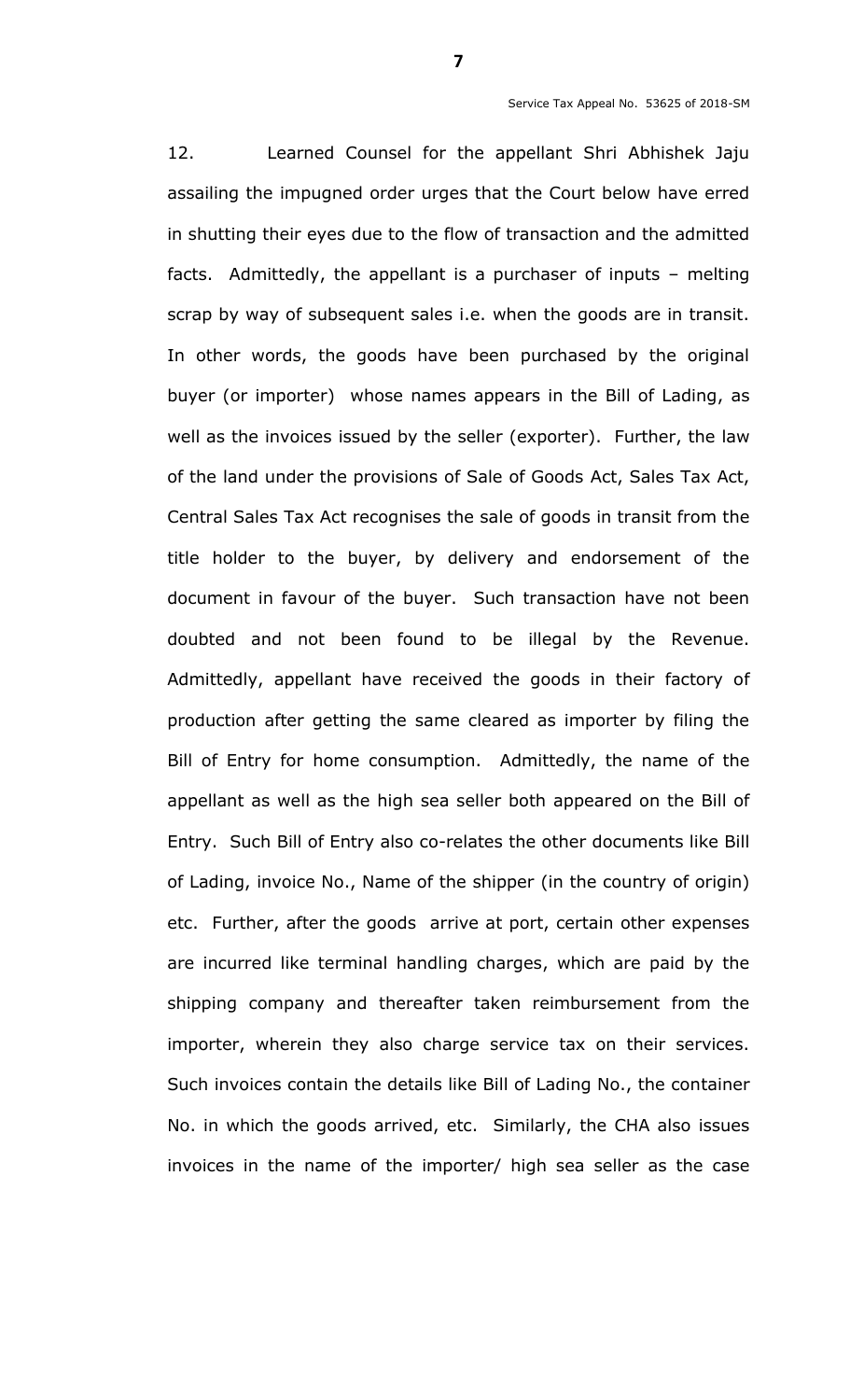12. Learned Counsel for the appellant Shri Abhishek Jaju assailing the impugned order urges that the Court below have erred in shutting their eyes due to the flow of transaction and the admitted facts. Admittedly, the appellant is a purchaser of inputs – melting scrap by way of subsequent sales i.e. when the goods are in transit. In other words, the goods have been purchased by the original buyer (or importer) whose names appears in the Bill of Lading, as well as the invoices issued by the seller (exporter). Further, the law of the land under the provisions of Sale of Goods Act, Sales Tax Act, Central Sales Tax Act recognises the sale of goods in transit from the title holder to the buyer, by delivery and endorsement of the document in favour of the buyer. Such transaction have not been doubted and not been found to be illegal by the Revenue. Admittedly, appellant have received the goods in their factory of production after getting the same cleared as importer by filing the Bill of Entry for home consumption. Admittedly, the name of the appellant as well as the high sea seller both appeared on the Bill of Entry. Such Bill of Entry also co-relates the other documents like Bill of Lading, invoice No., Name of the shipper (in the country of origin) etc. Further, after the goods arrive at port, certain other expenses are incurred like terminal handling charges, which are paid by the shipping company and thereafter taken reimbursement from the importer, wherein they also charge service tax on their services. Such invoices contain the details like Bill of Lading No., the container No. in which the goods arrived, etc. Similarly, the CHA also issues invoices in the name of the importer/ high sea seller as the case

**7**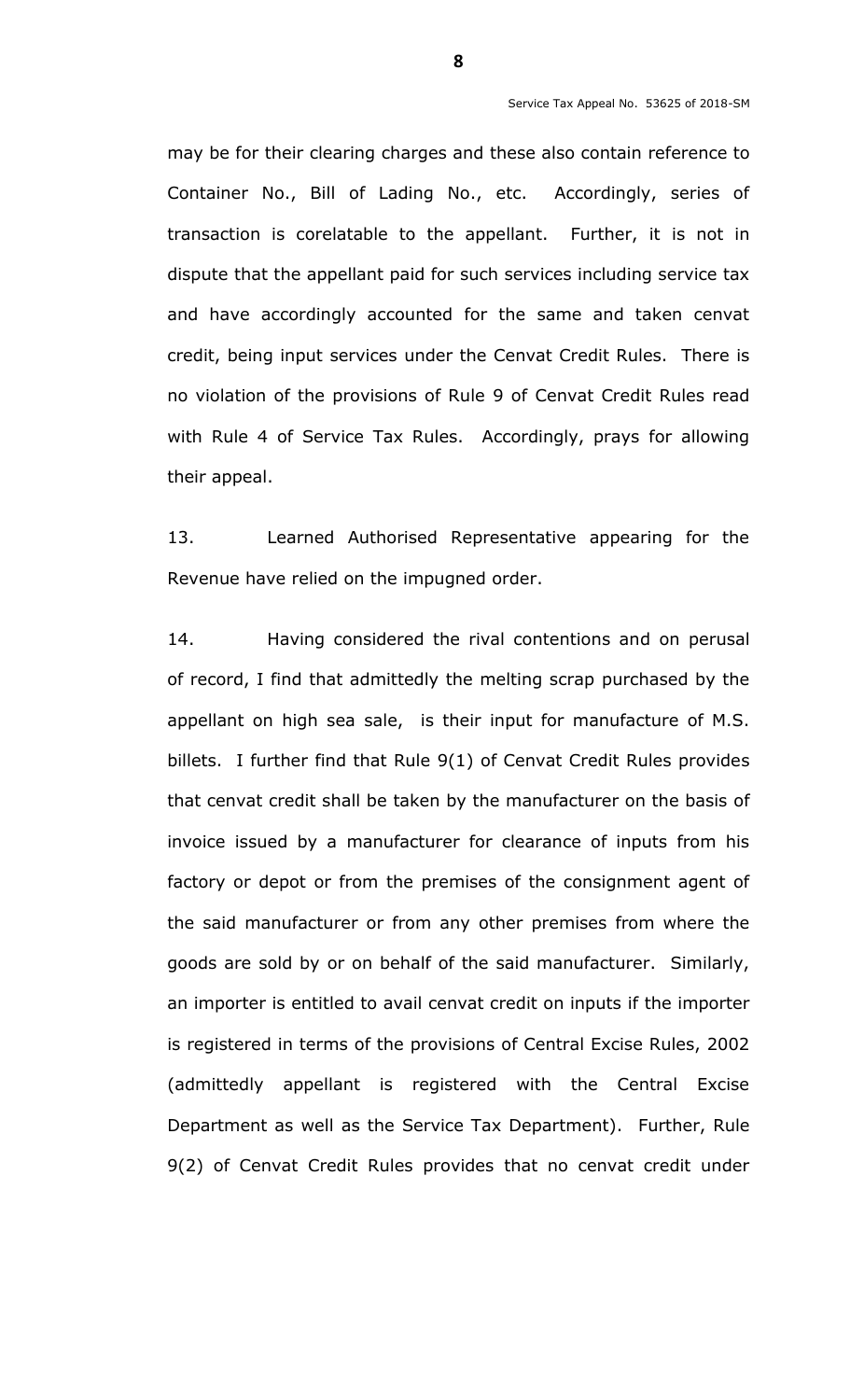may be for their clearing charges and these also contain reference to Container No., Bill of Lading No., etc. Accordingly, series of transaction is corelatable to the appellant. Further, it is not in dispute that the appellant paid for such services including service tax and have accordingly accounted for the same and taken cenvat credit, being input services under the Cenvat Credit Rules. There is no violation of the provisions of Rule 9 of Cenvat Credit Rules read with Rule 4 of Service Tax Rules. Accordingly, prays for allowing their appeal.

13. Learned Authorised Representative appearing for the Revenue have relied on the impugned order.

14. Having considered the rival contentions and on perusal of record, I find that admittedly the melting scrap purchased by the appellant on high sea sale, is their input for manufacture of M.S. billets. I further find that Rule 9(1) of Cenvat Credit Rules provides that cenvat credit shall be taken by the manufacturer on the basis of invoice issued by a manufacturer for clearance of inputs from his factory or depot or from the premises of the consignment agent of the said manufacturer or from any other premises from where the goods are sold by or on behalf of the said manufacturer. Similarly, an importer is entitled to avail cenvat credit on inputs if the importer is registered in terms of the provisions of Central Excise Rules, 2002 (admittedly appellant is registered with the Central Excise Department as well as the Service Tax Department). Further, Rule 9(2) of Cenvat Credit Rules provides that no cenvat credit under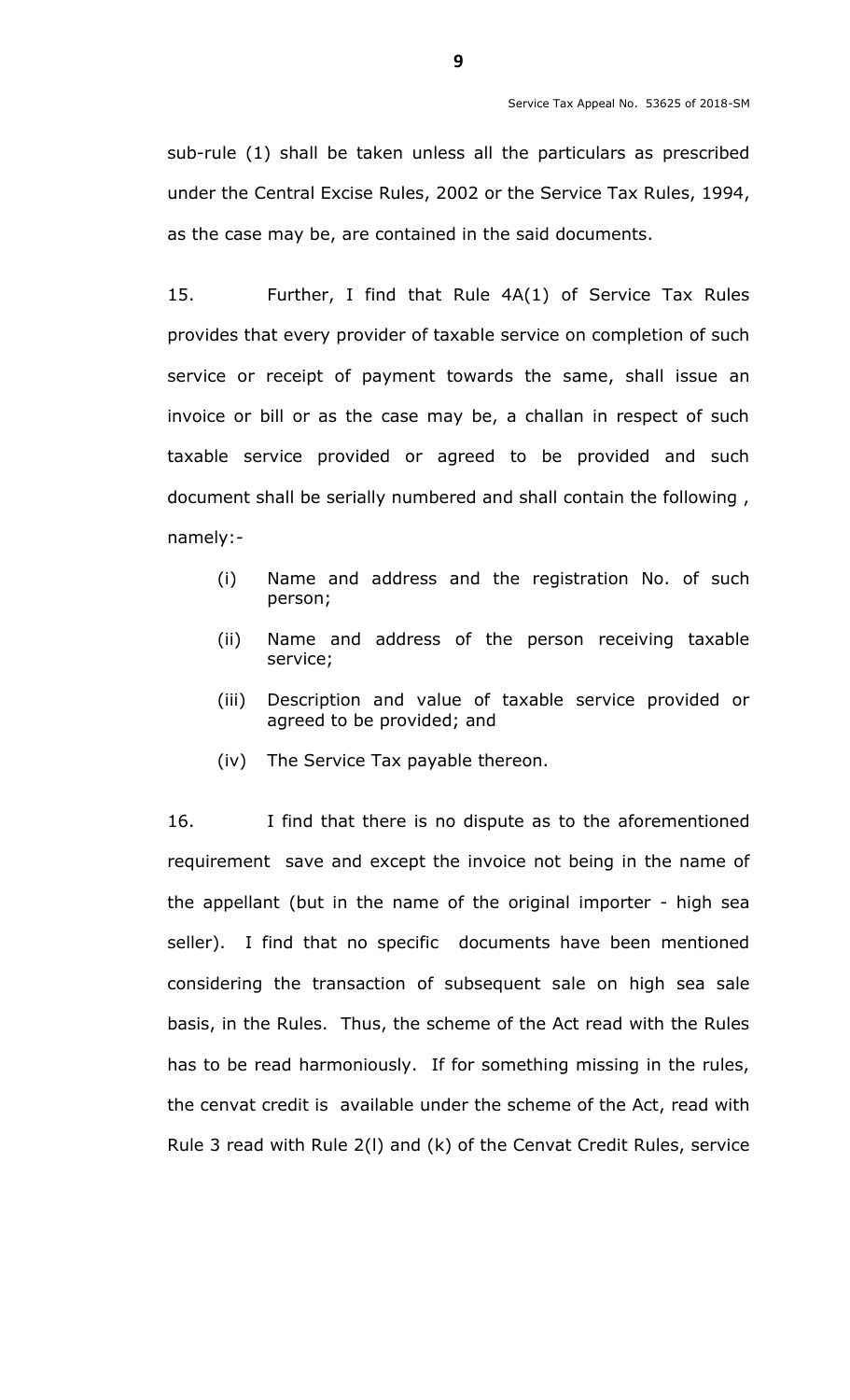sub-rule (1) shall be taken unless all the particulars as prescribed under the Central Excise Rules, 2002 or the Service Tax Rules, 1994, as the case may be, are contained in the said documents.

15. Further, I find that Rule 4A(1) of Service Tax Rules provides that every provider of taxable service on completion of such service or receipt of payment towards the same, shall issue an invoice or bill or as the case may be, a challan in respect of such taxable service provided or agreed to be provided and such document shall be serially numbered and shall contain the following , namely:-

- (i) Name and address and the registration No. of such person;
- (ii) Name and address of the person receiving taxable service;
- (iii) Description and value of taxable service provided or agreed to be provided; and
- (iv) The Service Tax payable thereon.

16. I find that there is no dispute as to the aforementioned requirement save and except the invoice not being in the name of the appellant (but in the name of the original importer - high sea seller). I find that no specific documents have been mentioned considering the transaction of subsequent sale on high sea sale basis, in the Rules. Thus, the scheme of the Act read with the Rules has to be read harmoniously. If for something missing in the rules, the cenvat credit is available under the scheme of the Act, read with Rule 3 read with Rule 2(l) and (k) of the Cenvat Credit Rules, service